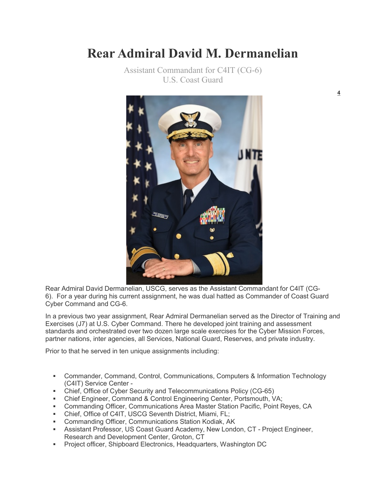## **Rear Admiral David M. Dermanelian**

Assistant Commandant for C4IT (CG-6) U.S. Coast Guard



Rear Admiral David Dermanelian, USCG, serves as the Assistant Commandant for C4IT (CG-6). For a year during his current assignment, he was dual hatted as Commander of Coast Guard Cyber Command and CG-6.

In a previous two year assignment, Rear Admiral Dermanelian served as the Director of Training and Exercises (J7) at U.S. Cyber Command. There he developed joint training and assessment standards and orchestrated over two dozen large scale exercises for the Cyber Mission Forces, partner nations, inter agencies, all Services, National Guard, Reserves, and private industry.

Prior to that he served in ten unique assignments including:

- Commander, Command, Control, Communications, Computers & Information Technology (C4IT) Service Center -
- Chief, Office of Cyber Security and Telecommunications Policy (CG-65)
- Chief Engineer, Command & Control Engineering Center, Portsmouth, VA;
- Commanding Officer, Communications Area Master Station Pacific, Point Reyes, CA
- Chief, Office of C4IT, USCG Seventh District, Miami, FL;
- Commanding Officer, Communications Station Kodiak, AK
- Assistant Professor, US Coast Guard Academy, New London, CT Project Engineer, Research and Development Center, Groton, CT
- Project officer, Shipboard Electronics, Headquarters, Washington DC